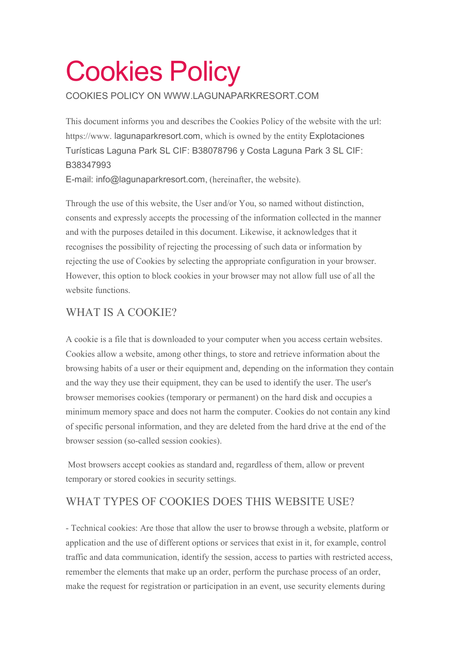# Cookies Policy

COOKIES POLICY ON WWW.LAGUNAPARKRESORT.COM

This document informs you and describes the Cookies Policy of the website with the url: https://www. lagunaparkresort.com, which is owned by the entity Explotaciones Turísticas Laguna Park SL CIF: B38078796 y Costa Laguna Park 3 SL CIF: B38347993

E-mail: info@lagunaparkresort.com, (hereinafter, the website).

Through the use of this website, the User and/or You, so named without distinction, consents and expressly accepts the processing of the information collected in the manner and with the purposes detailed in this document. Likewise, it acknowledges that it recognises the possibility of rejecting the processing of such data or information by rejecting the use of Cookies by selecting the appropriate configuration in your browser. However, this option to block cookies in your browser may not allow full use of all the website functions.

# WHAT IS A COOKIE?

A cookie is a file that is downloaded to your computer when you access certain websites. Cookies allow a website, among other things, to store and retrieve information about the browsing habits of a user or their equipment and, depending on the information they contain and the way they use their equipment, they can be used to identify the user. The user's browser memorises cookies (temporary or permanent) on the hard disk and occupies a minimum memory space and does not harm the computer. Cookies do not contain any kind of specific personal information, and they are deleted from the hard drive at the end of the browser session (so-called session cookies).

 Most browsers accept cookies as standard and, regardless of them, allow or prevent temporary or stored cookies in security settings.

# WHAT TYPES OF COOKIES DOES THIS WEBSITE USE?

- Technical cookies: Are those that allow the user to browse through a website, platform or application and the use of different options or services that exist in it, for example, control traffic and data communication, identify the session, access to parties with restricted access, remember the elements that make up an order, perform the purchase process of an order, make the request for registration or participation in an event, use security elements during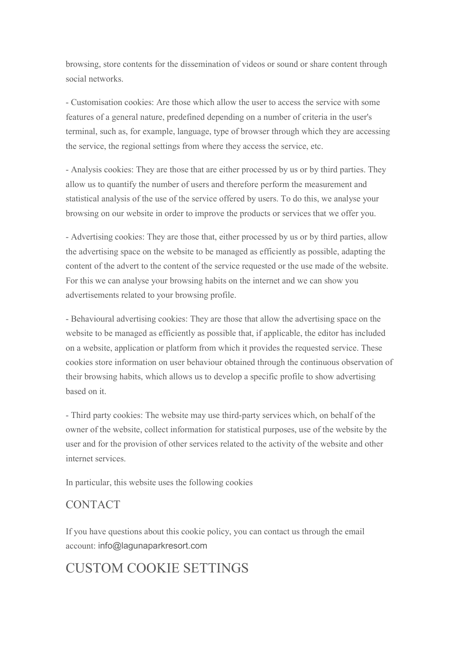browsing, store contents for the dissemination of videos or sound or share content through social networks.

- Customisation cookies: Are those which allow the user to access the service with some features of a general nature, predefined depending on a number of criteria in the user's terminal, such as, for example, language, type of browser through which they are accessing the service, the regional settings from where they access the service, etc.

- Analysis cookies: They are those that are either processed by us or by third parties. They allow us to quantify the number of users and therefore perform the measurement and statistical analysis of the use of the service offered by users. To do this, we analyse your browsing on our website in order to improve the products or services that we offer you.

- Advertising cookies: They are those that, either processed by us or by third parties, allow the advertising space on the website to be managed as efficiently as possible, adapting the content of the advert to the content of the service requested or the use made of the website. For this we can analyse your browsing habits on the internet and we can show you advertisements related to your browsing profile.

- Behavioural advertising cookies: They are those that allow the advertising space on the website to be managed as efficiently as possible that, if applicable, the editor has included on a website, application or platform from which it provides the requested service. These cookies store information on user behaviour obtained through the continuous observation of their browsing habits, which allows us to develop a specific profile to show advertising based on it.

- Third party cookies: The website may use third-party services which, on behalf of the owner of the website, collect information for statistical purposes, use of the website by the user and for the provision of other services related to the activity of the website and other internet services.

In particular, this website uses the following cookies

## CONTACT

If you have questions about this cookie policy, you can contact us through the email account: info@lagunaparkresort.com

# CUSTOM COOKIE SETTINGS